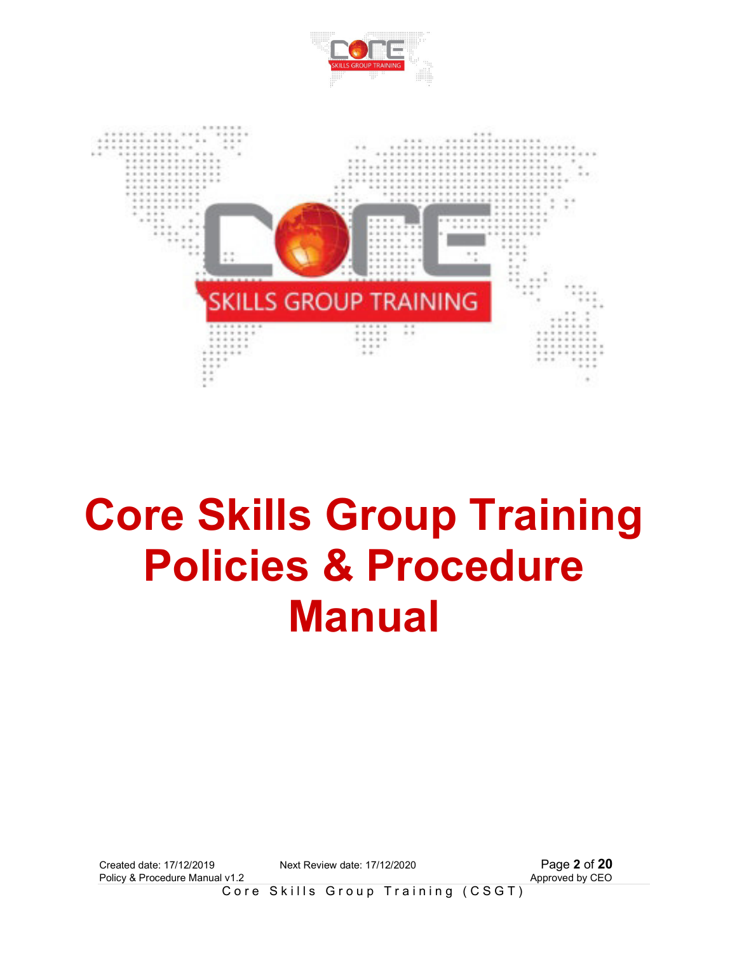



# **Core Skills Group Training Policies & Procedure Manual**

Created date: 17/12/2019 Next Review date: 17/12/2020 Page **2** of **20** Policy & Procedure Manual v1.2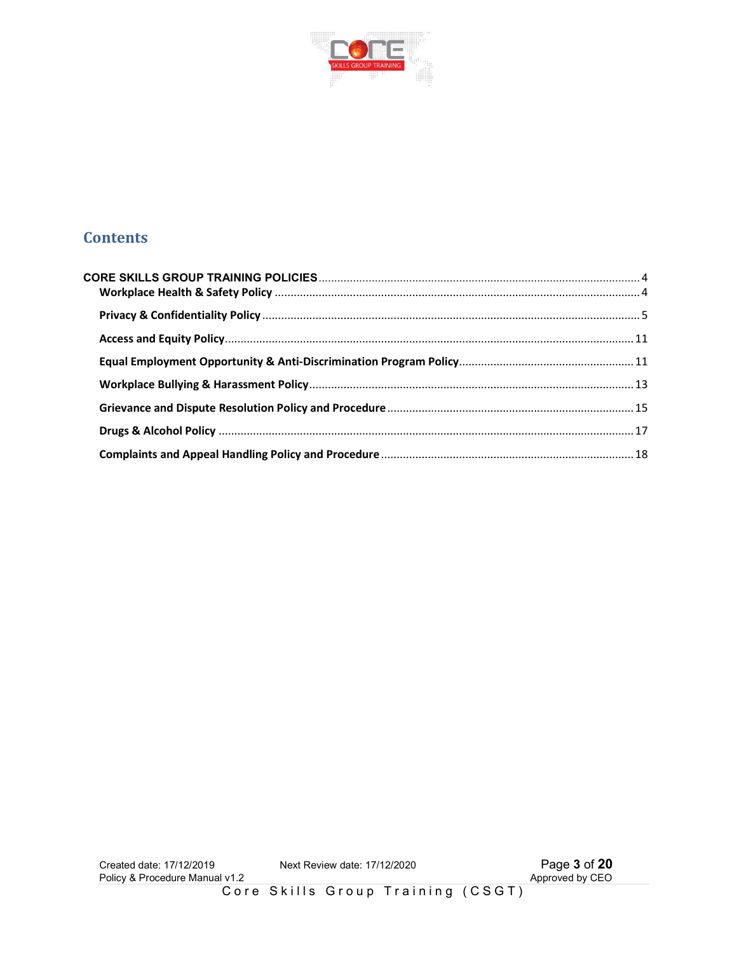

# **Contents**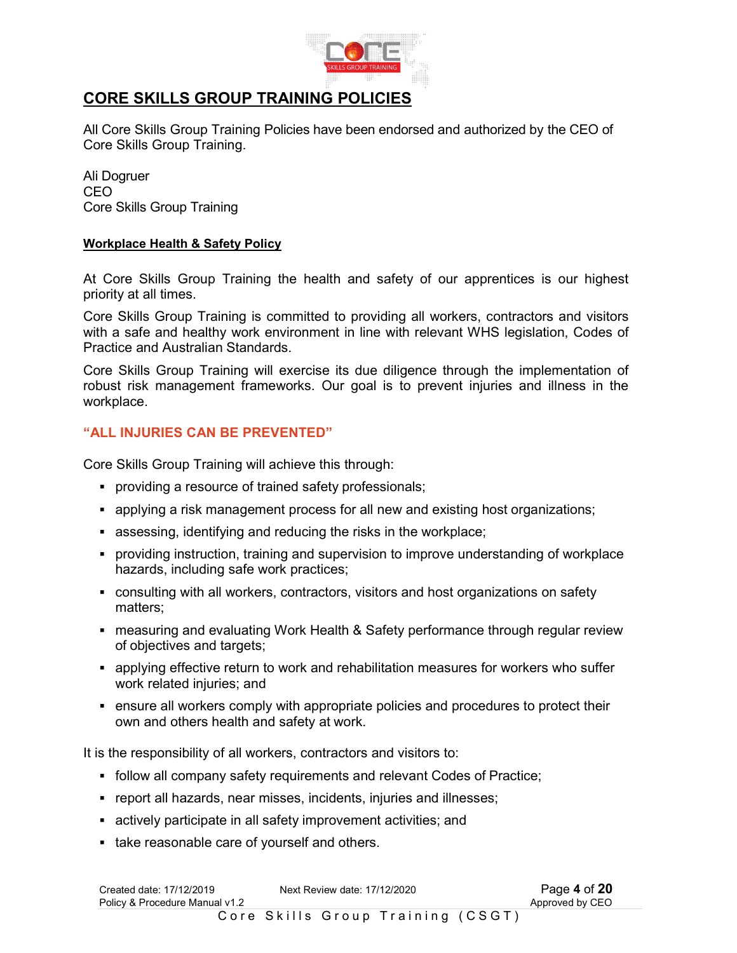

# **CORE SKILLS GROUP TRAINING POLICIES**

All Core Skills Group Training Policies have been endorsed and authorized by the CEO of Core Skills Group Training.

Ali Dogruer CEO Core Skills Group Training

## **Workplace Health & Safety Policy**

At Core Skills Group Training the health and safety of our apprentices is our highest priority at all times.

Core Skills Group Training is committed to providing all workers, contractors and visitors with a safe and healthy work environment in line with relevant WHS legislation, Codes of Practice and Australian Standards.

Core Skills Group Training will exercise its due diligence through the implementation of robust risk management frameworks. Our goal is to prevent injuries and illness in the workplace.

# **"ALL INJURIES CAN BE PREVENTED"**

Core Skills Group Training will achieve this through:

- providing a resource of trained safety professionals;
- applying a risk management process for all new and existing host organizations;
- assessing, identifying and reducing the risks in the workplace;
- providing instruction, training and supervision to improve understanding of workplace hazards, including safe work practices;
- consulting with all workers, contractors, visitors and host organizations on safety matters;
- measuring and evaluating Work Health & Safety performance through regular review of objectives and targets;
- applying effective return to work and rehabilitation measures for workers who suffer work related injuries; and
- ensure all workers comply with appropriate policies and procedures to protect their own and others health and safety at work.

It is the responsibility of all workers, contractors and visitors to:

- follow all company safety requirements and relevant Codes of Practice;
- report all hazards, near misses, incidents, injuries and illnesses;
- actively participate in all safety improvement activities; and
- take reasonable care of yourself and others.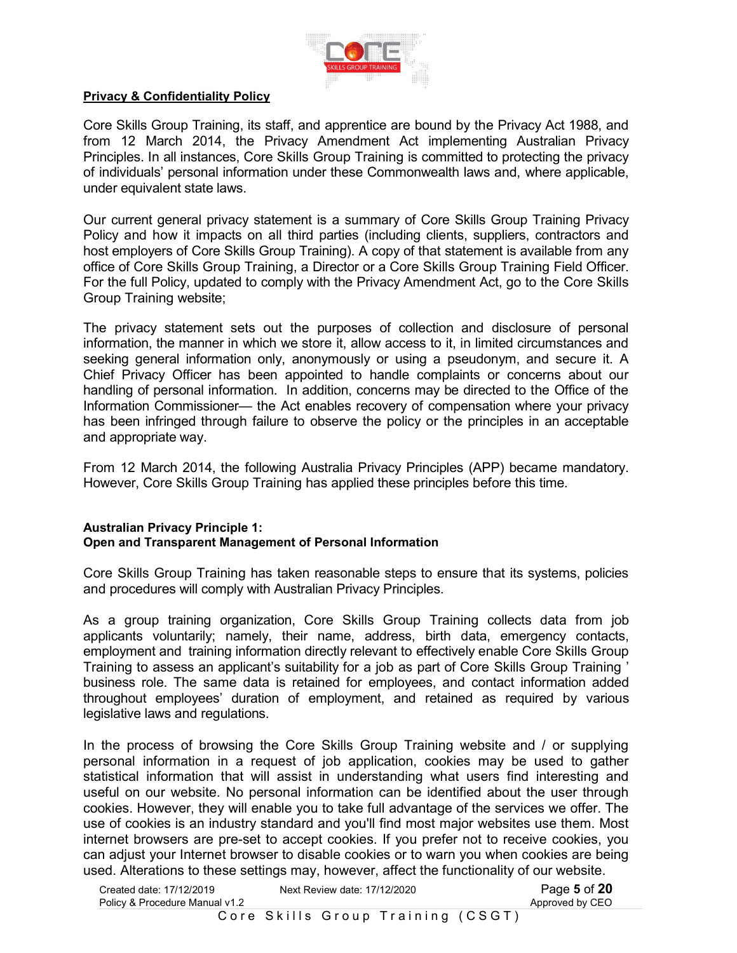

#### **Privacy & Confidentiality Policy**

Core Skills Group Training, its staff, and apprentice are bound by the Privacy Act 1988, and from 12 March 2014, the Privacy Amendment Act implementing Australian Privacy Principles. In all instances, Core Skills Group Training is committed to protecting the privacy of individuals' personal information under these Commonwealth laws and, where applicable, under equivalent state laws.

Our current general privacy statement is a summary of Core Skills Group Training Privacy Policy and how it impacts on all third parties (including clients, suppliers, contractors and host employers of Core Skills Group Training). A copy of that statement is available from any office of Core Skills Group Training, a Director or a Core Skills Group Training Field Officer. For the full Policy, updated to comply with the Privacy Amendment Act, go to the Core Skills Group Training website;

The privacy statement sets out the purposes of collection and disclosure of personal information, the manner in which we store it, allow access to it, in limited circumstances and seeking general information only, anonymously or using a pseudonym, and secure it. A Chief Privacy Officer has been appointed to handle complaints or concerns about our handling of personal information. In addition, concerns may be directed to the Office of the Information Commissioner— the Act enables recovery of compensation where your privacy has been infringed through failure to observe the policy or the principles in an acceptable and appropriate way.

From 12 March 2014, the following Australia Privacy Principles (APP) became mandatory. However, Core Skills Group Training has applied these principles before this time.

#### **Australian Privacy Principle 1: Open and Transparent Management of Personal Information**

Core Skills Group Training has taken reasonable steps to ensure that its systems, policies and procedures will comply with Australian Privacy Principles.

As a group training organization, Core Skills Group Training collects data from job applicants voluntarily; namely, their name, address, birth data, emergency contacts, employment and training information directly relevant to effectively enable Core Skills Group Training to assess an applicant's suitability for a job as part of Core Skills Group Training ' business role. The same data is retained for employees, and contact information added throughout employees' duration of employment, and retained as required by various legislative laws and regulations.

In the process of browsing the Core Skills Group Training website and / or supplying personal information in a request of job application, cookies may be used to gather statistical information that will assist in understanding what users find interesting and useful on our website. No personal information can be identified about the user through cookies. However, they will enable you to take full advantage of the services we offer. The use of cookies is an industry standard and you'll find most major websites use them. Most internet browsers are pre-set to accept cookies. If you prefer not to receive cookies, you can adjust your Internet browser to disable cookies or to warn you when cookies are being used. Alterations to these settings may, however, affect the functionality of our website.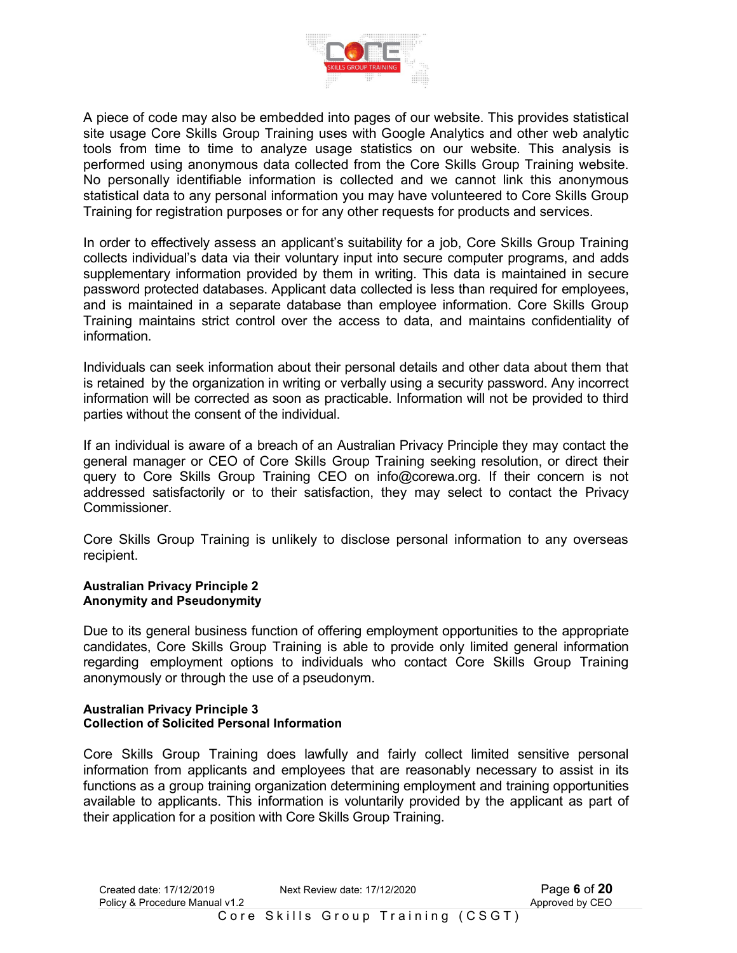

A piece of code may also be embedded into pages of our website. This provides statistical site usage Core Skills Group Training uses with Google Analytics and other web analytic tools from time to time to analyze usage statistics on our website. This analysis is performed using anonymous data collected from the Core Skills Group Training website. No personally identifiable information is collected and we cannot link this anonymous statistical data to any personal information you may have volunteered to Core Skills Group Training for registration purposes or for any other requests for products and services.

In order to effectively assess an applicant's suitability for a job, Core Skills Group Training collects individual's data via their voluntary input into secure computer programs, and adds supplementary information provided by them in writing. This data is maintained in secure password protected databases. Applicant data collected is less than required for employees, and is maintained in a separate database than employee information. Core Skills Group Training maintains strict control over the access to data, and maintains confidentiality of information.

Individuals can seek information about their personal details and other data about them that is retained by the organization in writing or verbally using a security password. Any incorrect information will be corrected as soon as practicable. Information will not be provided to third parties without the consent of the individual.

If an individual is aware of a breach of an Australian Privacy Principle they may contact the general manager or CEO of Core Skills Group Training seeking resolution, or direct their query to Core Skills Group Training CEO on info@corewa.org. If their concern is not addressed satisfactorily or to their satisfaction, they may select to contact the Privacy Commissioner.

Core Skills Group Training is unlikely to disclose personal information to any overseas recipient.

#### **Australian Privacy Principle 2 Anonymity and Pseudonymity**

Due to its general business function of offering employment opportunities to the appropriate candidates, Core Skills Group Training is able to provide only limited general information regarding employment options to individuals who contact Core Skills Group Training anonymously or through the use of a pseudonym.

#### **Australian Privacy Principle 3 Collection of Solicited Personal Information**

Core Skills Group Training does lawfully and fairly collect limited sensitive personal information from applicants and employees that are reasonably necessary to assist in its functions as a group training organization determining employment and training opportunities available to applicants. This information is voluntarily provided by the applicant as part of their application for a position with Core Skills Group Training.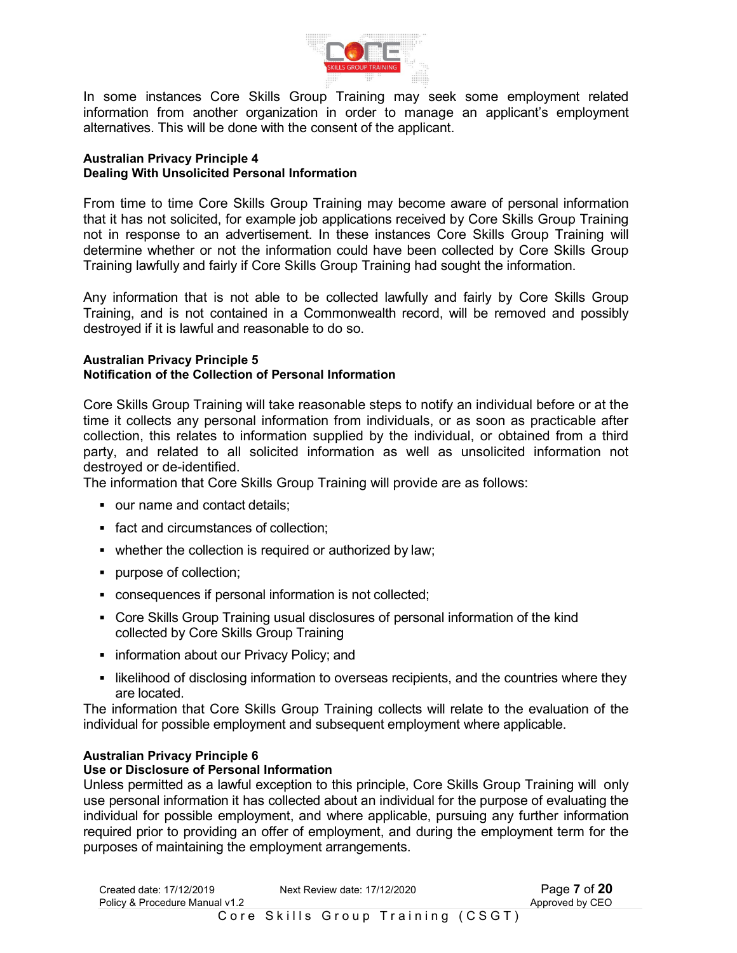

In some instances Core Skills Group Training may seek some employment related information from another organization in order to manage an applicant's employment alternatives. This will be done with the consent of the applicant.

#### **Australian Privacy Principle 4 Dealing With Unsolicited Personal Information**

From time to time Core Skills Group Training may become aware of personal information that it has not solicited, for example job applications received by Core Skills Group Training not in response to an advertisement. In these instances Core Skills Group Training will determine whether or not the information could have been collected by Core Skills Group Training lawfully and fairly if Core Skills Group Training had sought the information.

Any information that is not able to be collected lawfully and fairly by Core Skills Group Training, and is not contained in a Commonwealth record, will be removed and possibly destroyed if it is lawful and reasonable to do so.

#### **Australian Privacy Principle 5 Notification of the Collection of Personal Information**

Core Skills Group Training will take reasonable steps to notify an individual before or at the time it collects any personal information from individuals, or as soon as practicable after collection, this relates to information supplied by the individual, or obtained from a third party, and related to all solicited information as well as unsolicited information not destroyed or de-identified.

The information that Core Skills Group Training will provide are as follows:

- our name and contact details;
- fact and circumstances of collection;
- whether the collection is required or authorized by law;
- purpose of collection;
- consequences if personal information is not collected;
- Core Skills Group Training usual disclosures of personal information of the kind collected by Core Skills Group Training
- **information about our Privacy Policy; and**
- I likelihood of disclosing information to overseas recipients, and the countries where they are located.

The information that Core Skills Group Training collects will relate to the evaluation of the individual for possible employment and subsequent employment where applicable.

#### **Australian Privacy Principle 6**

#### **Use or Disclosure of Personal Information**

Unless permitted as a lawful exception to this principle, Core Skills Group Training will only use personal information it has collected about an individual for the purpose of evaluating the individual for possible employment, and where applicable, pursuing any further information required prior to providing an offer of employment, and during the employment term for the purposes of maintaining the employment arrangements.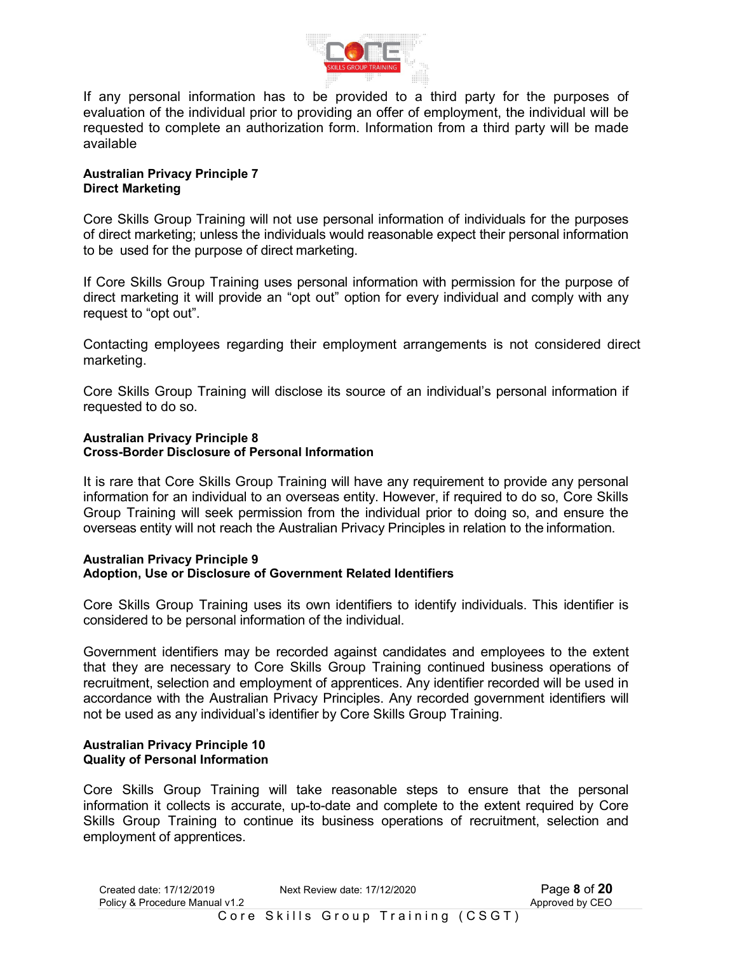

If any personal information has to be provided to a third party for the purposes of evaluation of the individual prior to providing an offer of employment, the individual will be requested to complete an authorization form. Information from a third party will be made available

#### **Australian Privacy Principle 7 Direct Marketing**

Core Skills Group Training will not use personal information of individuals for the purposes of direct marketing; unless the individuals would reasonable expect their personal information to be used for the purpose of direct marketing.

If Core Skills Group Training uses personal information with permission for the purpose of direct marketing it will provide an "opt out" option for every individual and comply with any request to "opt out".

Contacting employees regarding their employment arrangements is not considered direct marketing.

Core Skills Group Training will disclose its source of an individual's personal information if requested to do so.

#### **Australian Privacy Principle 8 Cross-Border Disclosure of Personal Information**

It is rare that Core Skills Group Training will have any requirement to provide any personal information for an individual to an overseas entity. However, if required to do so, Core Skills Group Training will seek permission from the individual prior to doing so, and ensure the overseas entity will not reach the Australian Privacy Principles in relation to the information.

#### **Australian Privacy Principle 9 Adoption, Use or Disclosure of Government Related Identifiers**

Core Skills Group Training uses its own identifiers to identify individuals. This identifier is considered to be personal information of the individual.

Government identifiers may be recorded against candidates and employees to the extent that they are necessary to Core Skills Group Training continued business operations of recruitment, selection and employment of apprentices. Any identifier recorded will be used in accordance with the Australian Privacy Principles. Any recorded government identifiers will not be used as any individual's identifier by Core Skills Group Training.

#### **Australian Privacy Principle 10 Quality of Personal Information**

Core Skills Group Training will take reasonable steps to ensure that the personal information it collects is accurate, up-to-date and complete to the extent required by Core Skills Group Training to continue its business operations of recruitment, selection and employment of apprentices.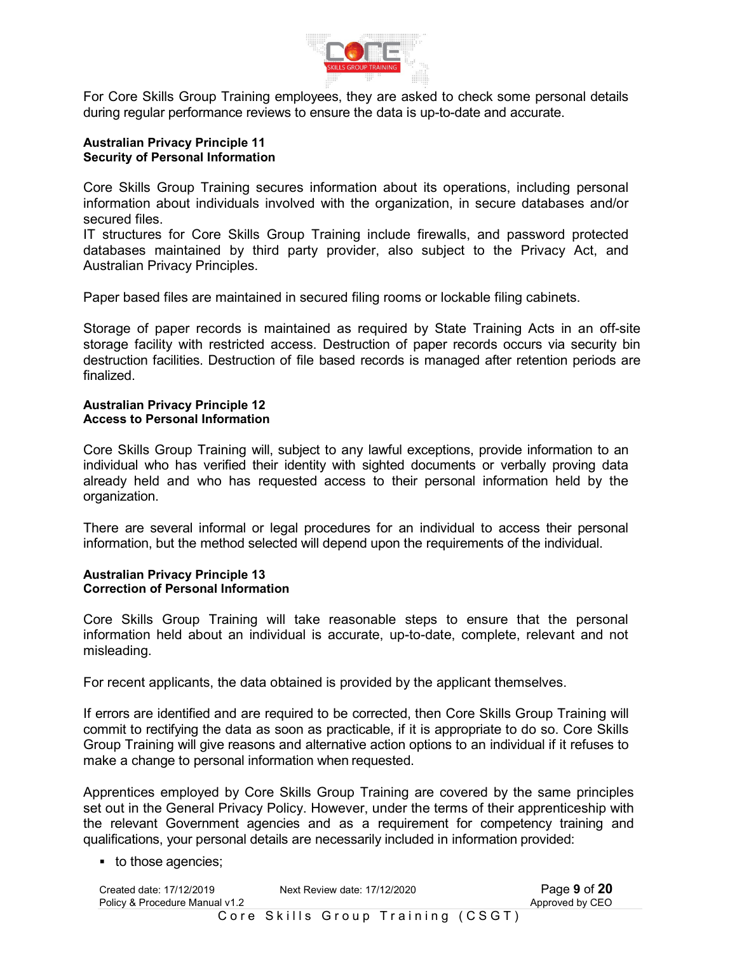

For Core Skills Group Training employees, they are asked to check some personal details during regular performance reviews to ensure the data is up-to-date and accurate.

#### **Australian Privacy Principle 11 Security of Personal Information**

Core Skills Group Training secures information about its operations, including personal information about individuals involved with the organization, in secure databases and/or secured files.

IT structures for Core Skills Group Training include firewalls, and password protected databases maintained by third party provider, also subject to the Privacy Act, and Australian Privacy Principles.

Paper based files are maintained in secured filing rooms or lockable filing cabinets.

Storage of paper records is maintained as required by State Training Acts in an off-site storage facility with restricted access. Destruction of paper records occurs via security bin destruction facilities. Destruction of file based records is managed after retention periods are finalized.

#### **Australian Privacy Principle 12 Access to Personal Information**

Core Skills Group Training will, subject to any lawful exceptions, provide information to an individual who has verified their identity with sighted documents or verbally proving data already held and who has requested access to their personal information held by the organization.

There are several informal or legal procedures for an individual to access their personal information, but the method selected will depend upon the requirements of the individual.

#### **Australian Privacy Principle 13 Correction of Personal Information**

Core Skills Group Training will take reasonable steps to ensure that the personal information held about an individual is accurate, up-to-date, complete, relevant and not misleading.

For recent applicants, the data obtained is provided by the applicant themselves.

If errors are identified and are required to be corrected, then Core Skills Group Training will commit to rectifying the data as soon as practicable, if it is appropriate to do so. Core Skills Group Training will give reasons and alternative action options to an individual if it refuses to make a change to personal information when requested.

Apprentices employed by Core Skills Group Training are covered by the same principles set out in the General Privacy Policy. However, under the terms of their apprenticeship with the relevant Government agencies and as a requirement for competency training and qualifications, your personal details are necessarily included in information provided:

■ to those agencies;

| Created date: 17/12/2019       | Next Review date: 17/12/2020 |                                   | Page 9 of 20    |
|--------------------------------|------------------------------|-----------------------------------|-----------------|
| Policy & Procedure Manual v1.2 |                              |                                   | Approved by CEO |
|                                |                              | Core Skills Group Training (CSGT) |                 |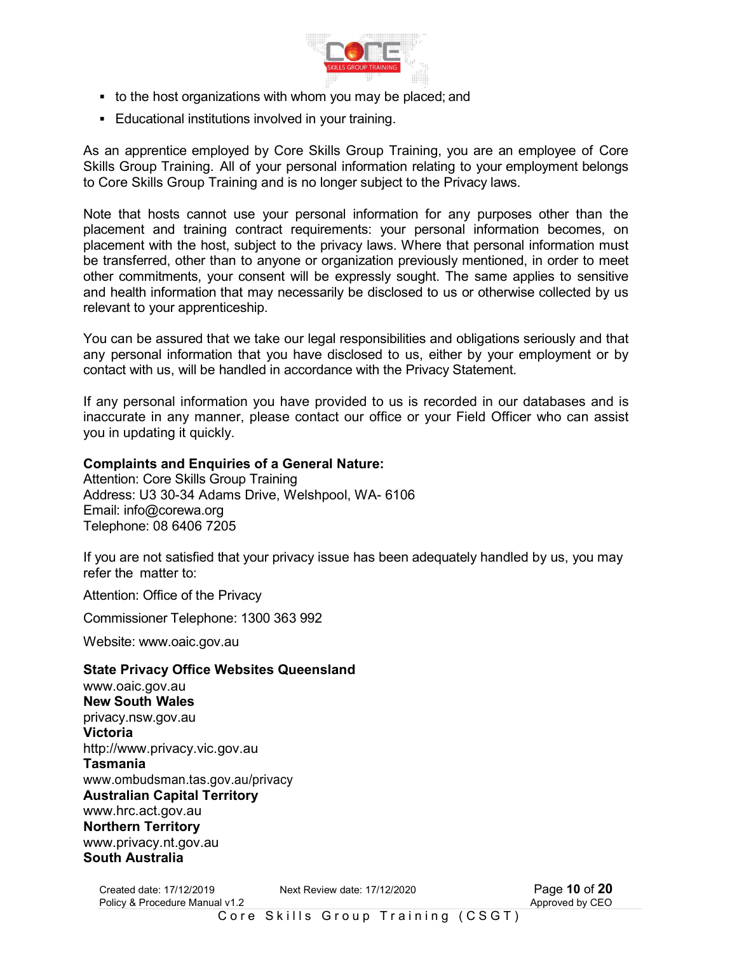

- to the host organizations with whom you may be placed; and
- Educational institutions involved in your training.

As an apprentice employed by Core Skills Group Training, you are an employee of Core Skills Group Training. All of your personal information relating to your employment belongs to Core Skills Group Training and is no longer subject to the Privacy laws.

Note that hosts cannot use your personal information for any purposes other than the placement and training contract requirements: your personal information becomes, on placement with the host, subject to the privacy laws. Where that personal information must be transferred, other than to anyone or organization previously mentioned, in order to meet other commitments, your consent will be expressly sought. The same applies to sensitive and health information that may necessarily be disclosed to us or otherwise collected by us relevant to your apprenticeship.

You can be assured that we take our legal responsibilities and obligations seriously and that any personal information that you have disclosed to us, either by your employment or by contact with us, will be handled in accordance with the Privacy Statement.

If any personal information you have provided to us is recorded in our databases and is inaccurate in any manner, please contact our office or your Field Officer who can assist you in updating it quickly.

# **Complaints and Enquiries of a General Nature:**

Attention: Core Skills Group Training Address: U3 30-34 Adams Drive, Welshpool, WA- 6106 Email: info@corewa.org Telephone: 08 6406 7205

If you are not satisfied that your privacy issue has been adequately handled by us, you may refer the matter to:

Attention: Office of the Privacy

Commissioner Telephone: 1300 363 992

Website: www.oaic.gov.au

#### **State Privacy Office Websites Queensland**

www.oaic.gov.au **New South Wales**  privacy.nsw.gov.au **Victoria**  http://www.privacy.vic.gov.au **Tasmania**  www.ombudsman.tas.gov.au/privacy **Australian Capital Territory**  www.hrc.act.gov.au **Northern Territory**  www.privacy.nt.gov.au **South Australia** 

Created date: 17/12/2019 Next Review date: 17/12/2020 Page **10** of **20** Policy & Procedure Manual v1.2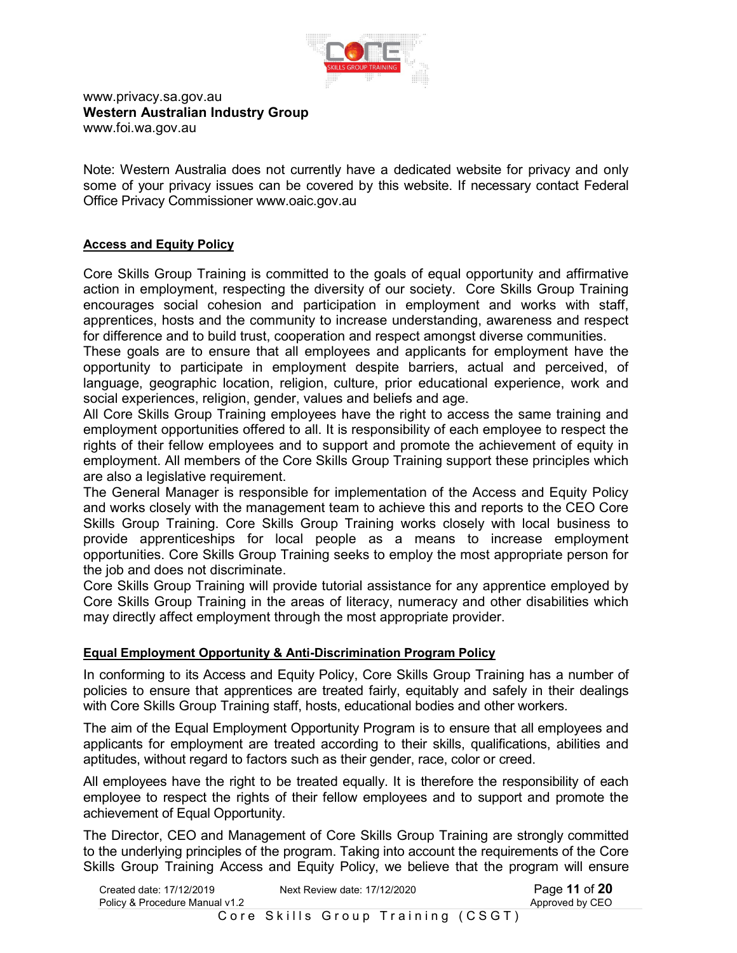

#### www.privacy.sa.gov.au **Western Australian Industry Group**  www.foi.wa.gov.au

Note: Western Australia does not currently have a dedicated website for privacy and only some of your privacy issues can be covered by this website. If necessary contact Federal Office Privacy Commissioner www.oaic.gov.au

## **Access and Equity Policy**

Core Skills Group Training is committed to the goals of equal opportunity and affirmative action in employment, respecting the diversity of our society. Core Skills Group Training encourages social cohesion and participation in employment and works with staff, apprentices, hosts and the community to increase understanding, awareness and respect for difference and to build trust, cooperation and respect amongst diverse communities.

These goals are to ensure that all employees and applicants for employment have the opportunity to participate in employment despite barriers, actual and perceived, of language, geographic location, religion, culture, prior educational experience, work and social experiences, religion, gender, values and beliefs and age.

All Core Skills Group Training employees have the right to access the same training and employment opportunities offered to all. It is responsibility of each employee to respect the rights of their fellow employees and to support and promote the achievement of equity in employment. All members of the Core Skills Group Training support these principles which are also a legislative requirement.

The General Manager is responsible for implementation of the Access and Equity Policy and works closely with the management team to achieve this and reports to the CEO Core Skills Group Training. Core Skills Group Training works closely with local business to provide apprenticeships for local people as a means to increase employment opportunities. Core Skills Group Training seeks to employ the most appropriate person for the job and does not discriminate.

Core Skills Group Training will provide tutorial assistance for any apprentice employed by Core Skills Group Training in the areas of literacy, numeracy and other disabilities which may directly affect employment through the most appropriate provider.

# **Equal Employment Opportunity & Anti-Discrimination Program Policy**

In conforming to its Access and Equity Policy, Core Skills Group Training has a number of policies to ensure that apprentices are treated fairly, equitably and safely in their dealings with Core Skills Group Training staff, hosts, educational bodies and other workers.

The aim of the Equal Employment Opportunity Program is to ensure that all employees and applicants for employment are treated according to their skills, qualifications, abilities and aptitudes, without regard to factors such as their gender, race, color or creed.

All employees have the right to be treated equally. It is therefore the responsibility of each employee to respect the rights of their fellow employees and to support and promote the achievement of Equal Opportunity.

The Director, CEO and Management of Core Skills Group Training are strongly committed to the underlying principles of the program. Taking into account the requirements of the Core Skills Group Training Access and Equity Policy, we believe that the program will ensure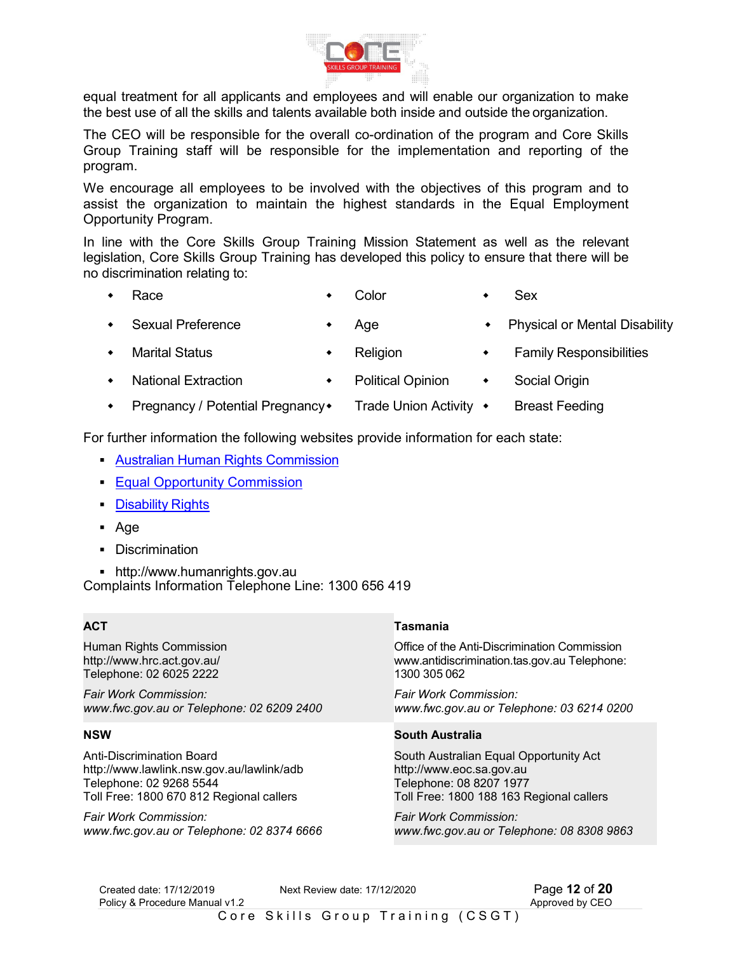

equal treatment for all applicants and employees and will enable our organization to make the best use of all the skills and talents available both inside and outside the organization.

The CEO will be responsible for the overall co-ordination of the program and Core Skills Group Training staff will be responsible for the implementation and reporting of the program.

We encourage all employees to be involved with the objectives of this program and to assist the organization to maintain the highest standards in the Equal Employment Opportunity Program.

In line with the Core Skills Group Training Mission Statement as well as the relevant legislation, Core Skills Group Training has developed this policy to ensure that there will be no discrimination relating to:

- 
- Race Color Sex
- Sexual Preference Age Age Physical or Mental Disability
	-
- Marital Status Religion Family Responsibilities
	-
- 
- National Extraction Political Opinion Social Origin
- Pregnancy / Potential Pregnancy Trade Union Activity Breast Feeding

For further information the following websites provide information for each state:

- Australian Human Rights Commission
- **Equal Opportunity Commission**
- **Disability Rights**
- Age
- **-** Discrimination

 http://www.humanrights.gov.au Complaints Information Telephone Line: 1300 656 419

# **ACT**

Human Rights Commission http://www.hrc.act.gov.au/ Telephone: 02 6025 2222

*Fair Work Commission: www.fwc.gov.au or Telephone: 02 6209 2400* 

#### **NSW**

Anti-Discrimination Board http://www.lawlink.nsw.gov.au/lawlink/adb Telephone: 02 9268 5544 Toll Free: 1800 670 812 Regional callers

*Fair Work Commission: www.fwc.gov.au or Telephone: 02 8374 6666* 

#### **Tasmania**

Office of the Anti-Discrimination Commission www.antidiscrimination.tas.gov.au Telephone: 1300 305 062

*Fair Work Commission: www.fwc.gov.au or Telephone: 03 6214 0200* 

#### **South Australia**

South Australian Equal Opportunity Act http://www.eoc.sa.gov.au Telephone: 08 8207 1977 Toll Free: 1800 188 163 Regional callers

*Fair Work Commission: www.fwc.gov.au or Telephone: 08 8308 9863* 

Created date: 17/12/2019 **Next Review date: 17/12/2020** Page **12 of 20**<br>Policy & Procedure Manual v1.2 Policy & Procedure Manual v1.2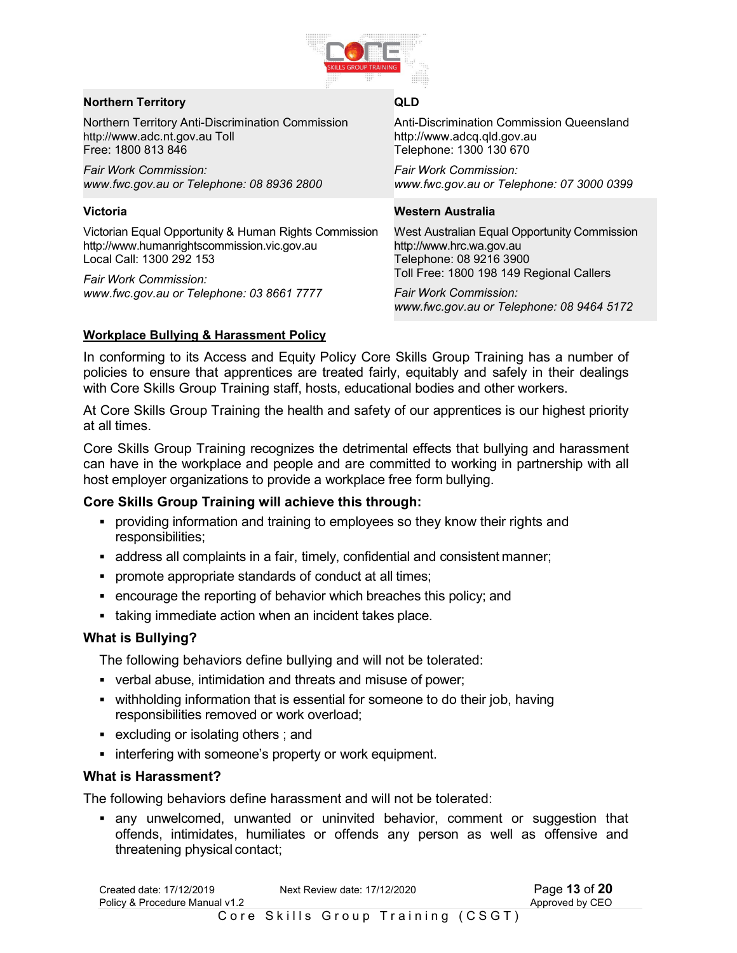

#### **Northern Territory**

Northern Territory Anti-Discrimination Commission http://www.adc.nt.gov.au Toll Free: 1800 813 846

*Fair Work Commission: www.fwc.gov.au or Telephone: 08 8936 2800* 

## **Victoria**

Victorian Equal Opportunity & Human Rights Commission http://www.humanrightscommission.vic.gov.au Local Call: 1300 292 153

*Fair Work Commission: www.fwc.gov.au or Telephone: 03 8661 7777* 

## **QLD**

Anti-Discrimination Commission Queensland http://www.adcq.qld.gov.au Telephone: 1300 130 670

*Fair Work Commission: www.fwc.gov.au or Telephone: 07 3000 0399* 

## **Western Australia**

West Australian Equal Opportunity Commission http://www.hrc.wa.gov.au Telephone: 08 9216 3900 Toll Free: 1800 198 149 Regional Callers

*Fair Work Commission: www.fwc.gov.au or Telephone: 08 9464 5172* 

# **Workplace Bullying & Harassment Policy**

In conforming to its Access and Equity Policy Core Skills Group Training has a number of policies to ensure that apprentices are treated fairly, equitably and safely in their dealings with Core Skills Group Training staff, hosts, educational bodies and other workers.

At Core Skills Group Training the health and safety of our apprentices is our highest priority at all times.

Core Skills Group Training recognizes the detrimental effects that bullying and harassment can have in the workplace and people and are committed to working in partnership with all host employer organizations to provide a workplace free form bullying.

# **Core Skills Group Training will achieve this through:**

- **•** providing information and training to employees so they know their rights and responsibilities;
- address all complaints in a fair, timely, confidential and consistent manner;
- promote appropriate standards of conduct at all times;
- encourage the reporting of behavior which breaches this policy; and
- taking immediate action when an incident takes place.

# **What is Bullying?**

The following behaviors define bullying and will not be tolerated:

- verbal abuse, intimidation and threats and misuse of power;
- withholding information that is essential for someone to do their job, having responsibilities removed or work overload;
- excluding or isolating others ; and
- **interfering with someone's property or work equipment.**

# **What is Harassment?**

The following behaviors define harassment and will not be tolerated:

 any unwelcomed, unwanted or uninvited behavior, comment or suggestion that offends, intimidates, humiliates or offends any person as well as offensive and threatening physical contact;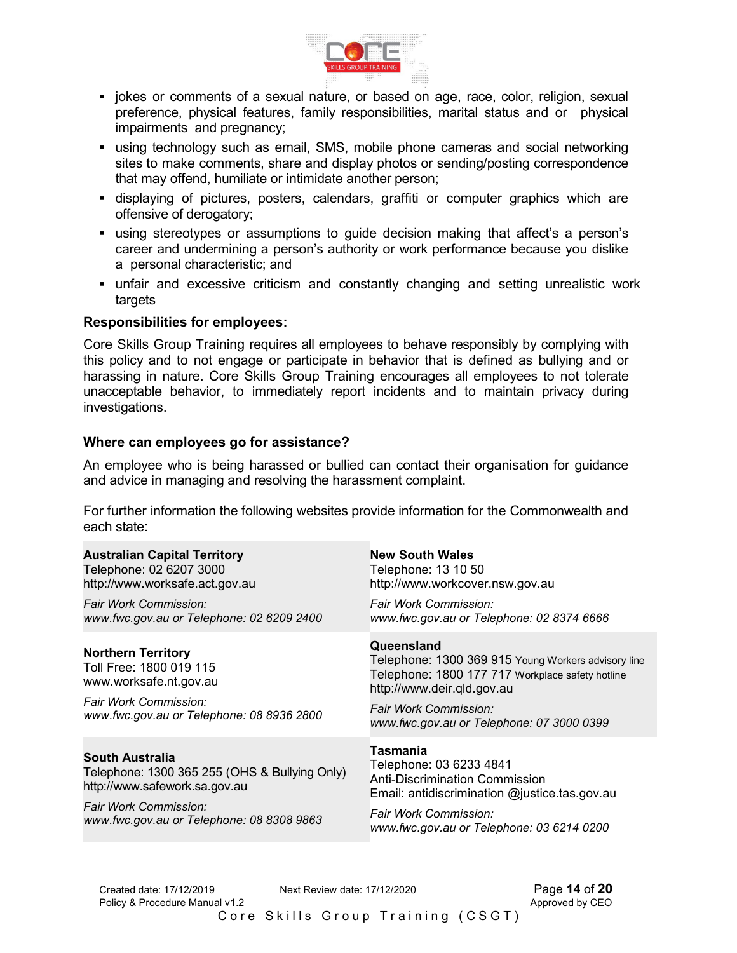

- jokes or comments of a sexual nature, or based on age, race, color, religion, sexual preference, physical features, family responsibilities, marital status and or physical impairments and pregnancy;
- using technology such as email, SMS, mobile phone cameras and social networking sites to make comments, share and display photos or sending/posting correspondence that may offend, humiliate or intimidate another person;
- displaying of pictures, posters, calendars, graffiti or computer graphics which are offensive of derogatory;
- using stereotypes or assumptions to guide decision making that affect's a person's career and undermining a person's authority or work performance because you dislike a personal characteristic; and
- unfair and excessive criticism and constantly changing and setting unrealistic work targets

## **Responsibilities for employees:**

Core Skills Group Training requires all employees to behave responsibly by complying with this policy and to not engage or participate in behavior that is defined as bullying and or harassing in nature. Core Skills Group Training encourages all employees to not tolerate unacceptable behavior, to immediately report incidents and to maintain privacy during investigations.

## **Where can employees go for assistance?**

An employee who is being harassed or bullied can contact their organisation for guidance and advice in managing and resolving the harassment complaint.

For further information the following websites provide information for the Commonwealth and each state:

| <b>Australian Capital Territory</b>                                                                                                                  | <b>New South Wales</b>                                                                                                                                                                                                    |
|------------------------------------------------------------------------------------------------------------------------------------------------------|---------------------------------------------------------------------------------------------------------------------------------------------------------------------------------------------------------------------------|
| Telephone: 02 6207 3000                                                                                                                              | Telephone: 13 10 50                                                                                                                                                                                                       |
| http://www.worksafe.act.gov.au                                                                                                                       | http://www.workcover.nsw.gov.au                                                                                                                                                                                           |
| Fair Work Commission:                                                                                                                                | Fair Work Commission:                                                                                                                                                                                                     |
| www.fwc.gov.au or Telephone: 02 6209 2400                                                                                                            | www.fwc.gov.au or Telephone: 02 8374 6666                                                                                                                                                                                 |
| <b>Northern Territory</b><br>Toll Free: 1800 019 115<br>www.worksafe.nt.gov.au<br>Fair Work Commission:<br>www.fwc.gov.au or Telephone: 08 8936 2800 | Queensland<br>Telephone: 1300 369 915 Young Workers advisory line<br>Telephone: 1800 177 717 Workplace safety hotline<br>http://www.deir.gld.gov.au<br>Fair Work Commission:<br>www.fwc.gov.au or Telephone: 07 3000 0399 |
| South Australia<br>Telephone: 1300 365 255 (OHS & Bullying Only)<br>http://www.safework.sa.gov.au                                                    | Tasmania<br>Telephone: 03 6233 4841<br><b>Anti-Discrimination Commission</b><br>Email: antidiscrimination @justice.tas.gov.au                                                                                             |
| Fair Work Commission:                                                                                                                                | Fair Work Commission:                                                                                                                                                                                                     |
| www.fwc.gov.au or Telephone: 08 8308 9863                                                                                                            | www.fwc.gov.au or Telephone: 03 6214 0200                                                                                                                                                                                 |

Created date: 17/12/2019 Next Review date: 17/12/2020 Page **14** of **20** Policy & Procedure Manual v1.2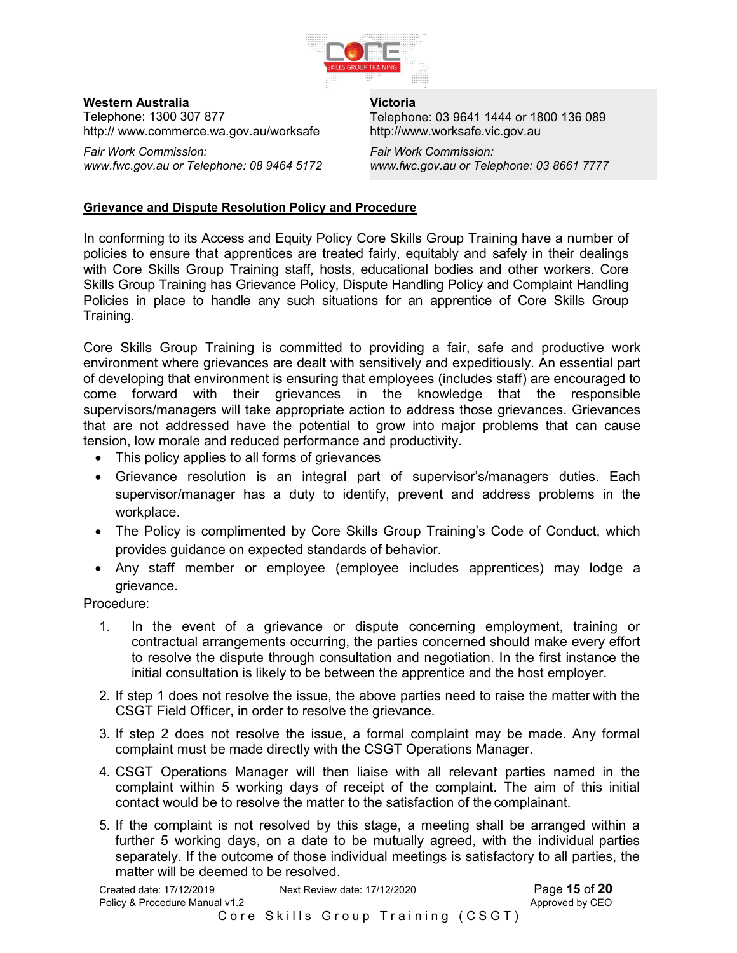

**Western Australia**  Telephone: 1300 307 877 http:// www.commerce.wa.gov.au/worksafe

*Fair Work Commission: www.fwc.gov.au or Telephone: 08 9464 5172* 

**Victoria**  Telephone: 03 9641 1444 or 1800 136 089 http://www.worksafe.vic.gov.au

*Fair Work Commission: www.fwc.gov.au or Telephone: 03 8661 7777* 

#### **Grievance and Dispute Resolution Policy and Procedure**

In conforming to its Access and Equity Policy Core Skills Group Training have a number of policies to ensure that apprentices are treated fairly, equitably and safely in their dealings with Core Skills Group Training staff, hosts, educational bodies and other workers. Core Skills Group Training has Grievance Policy, Dispute Handling Policy and Complaint Handling Policies in place to handle any such situations for an apprentice of Core Skills Group Training.

Core Skills Group Training is committed to providing a fair, safe and productive work environment where grievances are dealt with sensitively and expeditiously. An essential part of developing that environment is ensuring that employees (includes staff) are encouraged to come forward with their grievances in the knowledge that the responsible supervisors/managers will take appropriate action to address those grievances. Grievances that are not addressed have the potential to grow into major problems that can cause tension, low morale and reduced performance and productivity.

- This policy applies to all forms of grievances
- Grievance resolution is an integral part of supervisor's/managers duties. Each supervisor/manager has a duty to identify, prevent and address problems in the workplace.
- The Policy is complimented by Core Skills Group Training's Code of Conduct, which provides guidance on expected standards of behavior.
- Any staff member or employee (employee includes apprentices) may lodge a grievance.

Procedure:

- 1. In the event of a grievance or dispute concerning employment, training or contractual arrangements occurring, the parties concerned should make every effort to resolve the dispute through consultation and negotiation. In the first instance the initial consultation is likely to be between the apprentice and the host employer.
- 2. If step 1 does not resolve the issue, the above parties need to raise the matter with the CSGT Field Officer, in order to resolve the grievance.
- 3. If step 2 does not resolve the issue, a formal complaint may be made. Any formal complaint must be made directly with the CSGT Operations Manager.
- 4. CSGT Operations Manager will then liaise with all relevant parties named in the complaint within 5 working days of receipt of the complaint. The aim of this initial contact would be to resolve the matter to the satisfaction of the complainant.
- 5. If the complaint is not resolved by this stage, a meeting shall be arranged within a further 5 working days, on a date to be mutually agreed, with the individual parties separately. If the outcome of those individual meetings is satisfactory to all parties, the matter will be deemed to be resolved.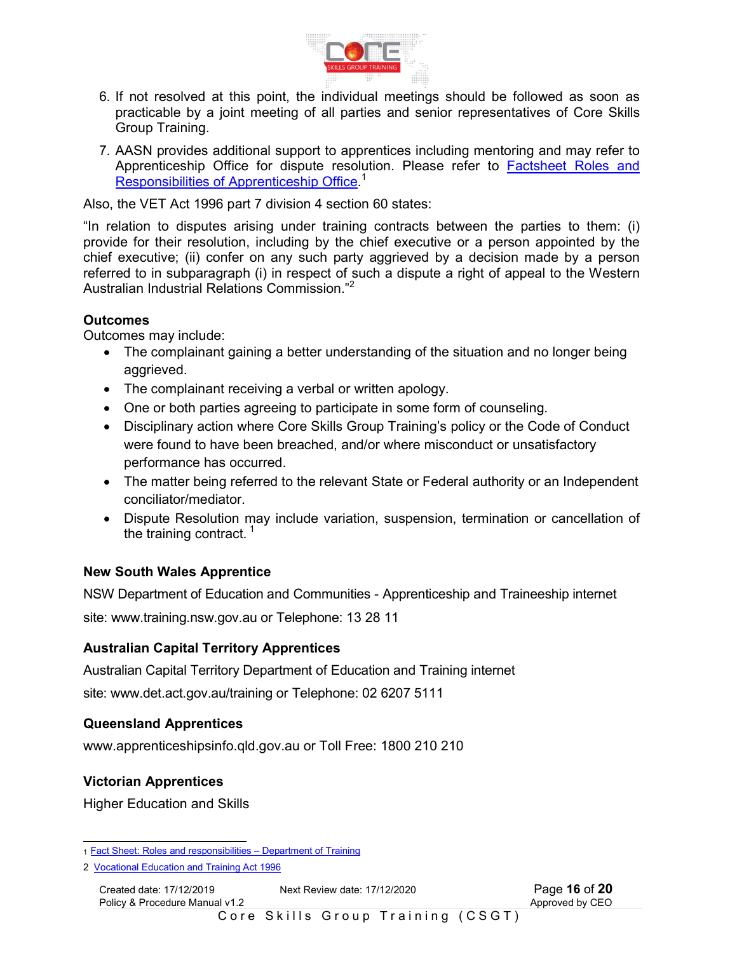

- 6. If not resolved at this point, the individual meetings should be followed as soon as practicable by a joint meeting of all parties and senior representatives of Core Skills Group Training.
- 7. AASN provides additional support to apprentices including mentoring and may refer to Apprenticeship Office for dispute resolution. Please refer to Factsheet Roles and Responsibilities of Apprenticeship Office.<sup>1</sup>

Also, the VET Act 1996 part 7 division 4 section 60 states:

"In relation to disputes arising under training contracts between the parties to them: (i) provide for their resolution, including by the chief executive or a person appointed by the chief executive; (ii) confer on any such party aggrieved by a decision made by a person referred to in subparagraph (i) in respect of such a dispute a right of appeal to the Western Australian Industrial Relations Commission."<sup>2</sup>

# **Outcomes**

Outcomes may include:

- The complainant gaining a better understanding of the situation and no longer being aggrieved.
- The complainant receiving a verbal or written apology.
- One or both parties agreeing to participate in some form of counseling.
- Disciplinary action where Core Skills Group Training's policy or the Code of Conduct were found to have been breached, and/or where misconduct or unsatisfactory performance has occurred.
- The matter being referred to the relevant State or Federal authority or an Independent conciliator/mediator.
- Dispute Resolution may include variation, suspension, termination or cancellation of the training contract.  $1$

# **New South Wales Apprentice**

NSW Department of Education and Communities - Apprenticeship and Traineeship internet

site: www.training.nsw.gov.au or Telephone: 13 28 11

# **Australian Capital Territory Apprentices**

Australian Capital Territory Department of Education and Training internet site: www.det.act.gov.au/training or Telephone: 02 6207 5111

# **Queensland Apprentices**

www.apprenticeshipsinfo.qld.gov.au or Toll Free: 1800 210 210

# **Victorian Apprentices**

Higher Education and Skills

 1 Fact Sheet: Roles and responsibilities – Department of Training

<sup>2</sup> Vocational Education and Training Act 1996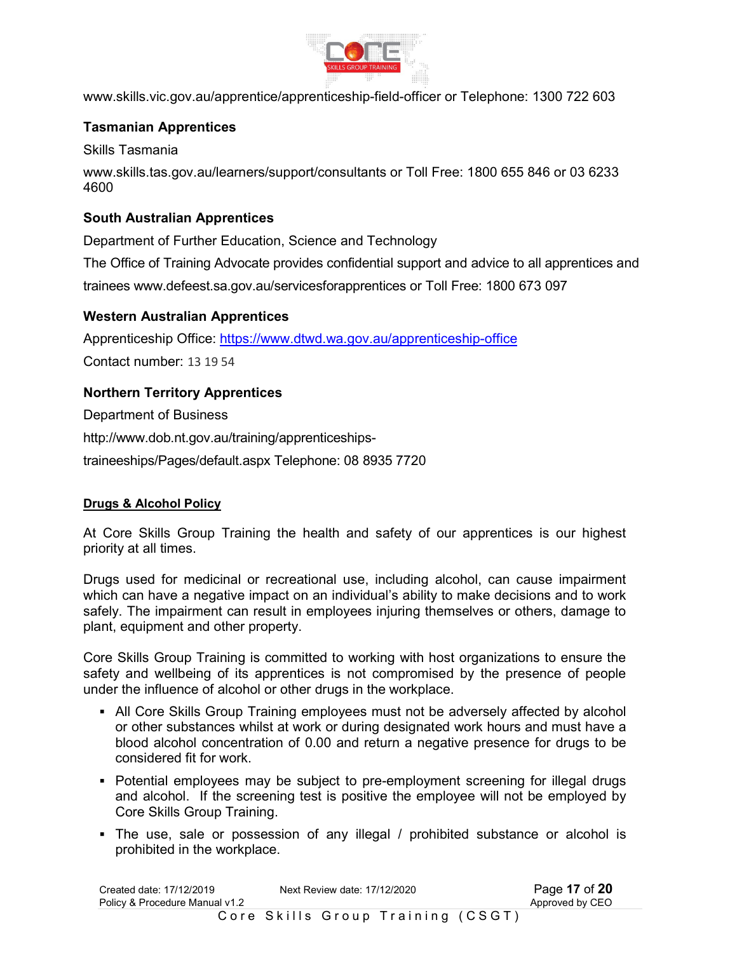

www.skills.vic.gov.au/apprentice/apprenticeship-field-officer or Telephone: 1300 722 603

# **Tasmanian Apprentices**

Skills Tasmania

www.skills.tas.gov.au/learners/support/consultants or Toll Free: 1800 655 846 or 03 6233 4600

# **South Australian Apprentices**

Department of Further Education, Science and Technology

The Office of Training Advocate provides confidential support and advice to all apprentices and trainees www.defeest.sa.gov.au/servicesforapprentices or Toll Free: 1800 673 097

# **Western Australian Apprentices**

Apprenticeship Office: https://www.dtwd.wa.gov.au/apprenticeship-office Contact number: 13 19 54

# **Northern Territory Apprentices**

Department of Business

http://www.dob.nt.gov.au/training/apprenticeships-

traineeships/Pages/default.aspx Telephone: 08 8935 7720

# **Drugs & Alcohol Policy**

At Core Skills Group Training the health and safety of our apprentices is our highest priority at all times.

Drugs used for medicinal or recreational use, including alcohol, can cause impairment which can have a negative impact on an individual's ability to make decisions and to work safely. The impairment can result in employees injuring themselves or others, damage to plant, equipment and other property.

Core Skills Group Training is committed to working with host organizations to ensure the safety and wellbeing of its apprentices is not compromised by the presence of people under the influence of alcohol or other drugs in the workplace.

- All Core Skills Group Training employees must not be adversely affected by alcohol or other substances whilst at work or during designated work hours and must have a blood alcohol concentration of 0.00 and return a negative presence for drugs to be considered fit for work.
- Potential employees may be subject to pre-employment screening for illegal drugs and alcohol. If the screening test is positive the employee will not be employed by Core Skills Group Training.
- The use, sale or possession of any illegal / prohibited substance or alcohol is prohibited in the workplace.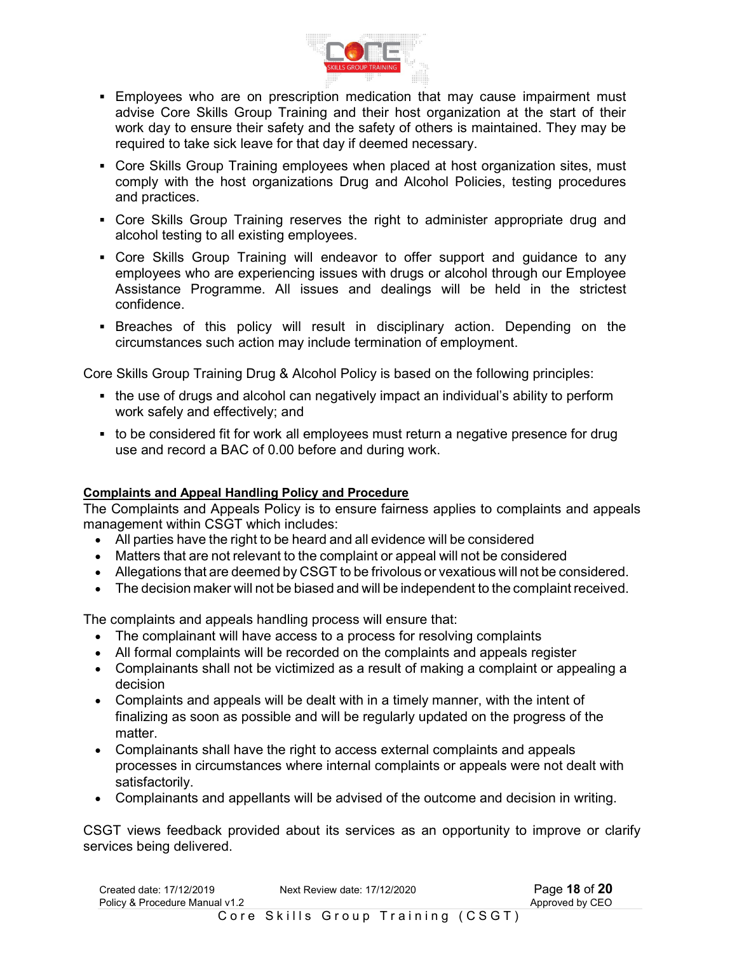

- Employees who are on prescription medication that may cause impairment must advise Core Skills Group Training and their host organization at the start of their work day to ensure their safety and the safety of others is maintained. They may be required to take sick leave for that day if deemed necessary.
- Core Skills Group Training employees when placed at host organization sites, must comply with the host organizations Drug and Alcohol Policies, testing procedures and practices.
- Core Skills Group Training reserves the right to administer appropriate drug and alcohol testing to all existing employees.
- Core Skills Group Training will endeavor to offer support and guidance to any employees who are experiencing issues with drugs or alcohol through our Employee Assistance Programme. All issues and dealings will be held in the strictest confidence.
- **Breaches of this policy will result in disciplinary action. Depending on the** circumstances such action may include termination of employment.

Core Skills Group Training Drug & Alcohol Policy is based on the following principles:

- the use of drugs and alcohol can negatively impact an individual's ability to perform work safely and effectively; and
- to be considered fit for work all employees must return a negative presence for drug use and record a BAC of 0.00 before and during work.

# **Complaints and Appeal Handling Policy and Procedure**

The Complaints and Appeals Policy is to ensure fairness applies to complaints and appeals management within CSGT which includes:

- All parties have the right to be heard and all evidence will be considered
- Matters that are not relevant to the complaint or appeal will not be considered
- Allegations that are deemed by CSGT to be frivolous or vexatious will not be considered.
- The decision maker will not be biased and will be independent to the complaint received.

The complaints and appeals handling process will ensure that:

- The complainant will have access to a process for resolving complaints
- All formal complaints will be recorded on the complaints and appeals register
- Complainants shall not be victimized as a result of making a complaint or appealing a decision
- Complaints and appeals will be dealt with in a timely manner, with the intent of finalizing as soon as possible and will be regularly updated on the progress of the matter.
- Complainants shall have the right to access external complaints and appeals processes in circumstances where internal complaints or appeals were not dealt with satisfactorily.
- Complainants and appellants will be advised of the outcome and decision in writing.

CSGT views feedback provided about its services as an opportunity to improve or clarify services being delivered.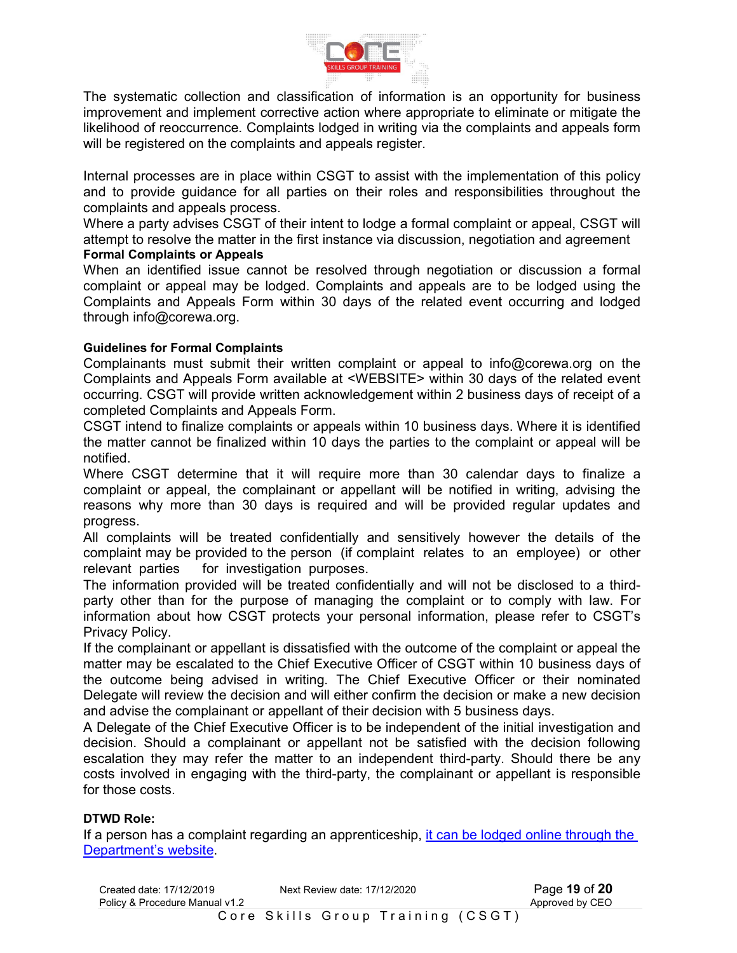

The systematic collection and classification of information is an opportunity for business improvement and implement corrective action where appropriate to eliminate or mitigate the likelihood of reoccurrence. Complaints lodged in writing via the complaints and appeals form will be registered on the complaints and appeals register.

Internal processes are in place within CSGT to assist with the implementation of this policy and to provide guidance for all parties on their roles and responsibilities throughout the complaints and appeals process.

Where a party advises CSGT of their intent to lodge a formal complaint or appeal, CSGT will attempt to resolve the matter in the first instance via discussion, negotiation and agreement **Formal Complaints or Appeals** 

When an identified issue cannot be resolved through negotiation or discussion a formal complaint or appeal may be lodged. Complaints and appeals are to be lodged using the Complaints and Appeals Form within 30 days of the related event occurring and lodged through info@corewa.org.

# **Guidelines for Formal Complaints**

Complainants must submit their written complaint or appeal to info@corewa.org on the Complaints and Appeals Form available at <WEBSITE> within 30 days of the related event occurring. CSGT will provide written acknowledgement within 2 business days of receipt of a completed Complaints and Appeals Form.

CSGT intend to finalize complaints or appeals within 10 business days. Where it is identified the matter cannot be finalized within 10 days the parties to the complaint or appeal will be notified.

Where CSGT determine that it will require more than 30 calendar days to finalize a complaint or appeal, the complainant or appellant will be notified in writing, advising the reasons why more than 30 days is required and will be provided regular updates and progress.

All complaints will be treated confidentially and sensitively however the details of the complaint may be provided to the person (if complaint relates to an employee) or other relevant parties for investigation purposes.

The information provided will be treated confidentially and will not be disclosed to a thirdparty other than for the purpose of managing the complaint or to comply with law. For information about how CSGT protects your personal information, please refer to CSGT's Privacy Policy.

If the complainant or appellant is dissatisfied with the outcome of the complaint or appeal the matter may be escalated to the Chief Executive Officer of CSGT within 10 business days of the outcome being advised in writing. The Chief Executive Officer or their nominated Delegate will review the decision and will either confirm the decision or make a new decision and advise the complainant or appellant of their decision with 5 business days.

A Delegate of the Chief Executive Officer is to be independent of the initial investigation and decision. Should a complainant or appellant not be satisfied with the decision following escalation they may refer the matter to an independent third-party. Should there be any costs involved in engaging with the third-party, the complainant or appellant is responsible for those costs.

#### **DTWD Role:**

If a person has a complaint regarding an apprenticeship, it can be lodged online through the Department's website.

| Created date: 17/12/2019<br>Policy & Procedure Manual v1.2 | Next Review date: 17/12/2020      | Page 19 of 20<br>Approved by CEO |
|------------------------------------------------------------|-----------------------------------|----------------------------------|
|                                                            | Core Skills Group Training (CSGT) |                                  |